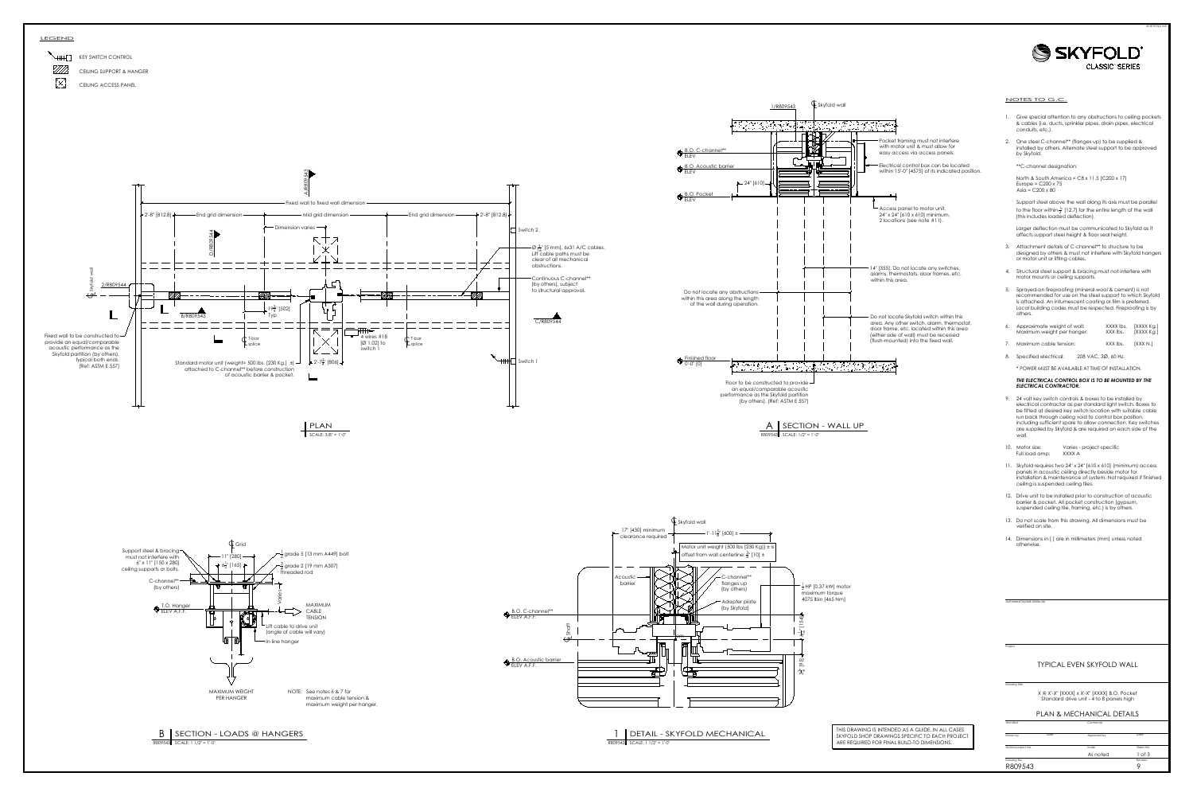



- 
- 

- 
- 
- 
- 
- 

- 
- 
- 
- 
- 
- 

Project<br>
Drawing title Sky (SKY Mark 2008)<br>
Drawing title Skyfold project No. Plannels Architect Contractor Contractor<br>
Drawn by Date Approved by Date Approved by Date As noted 1 of 3<br>
Drawing No. As noted 1 of 3 noted 1 o